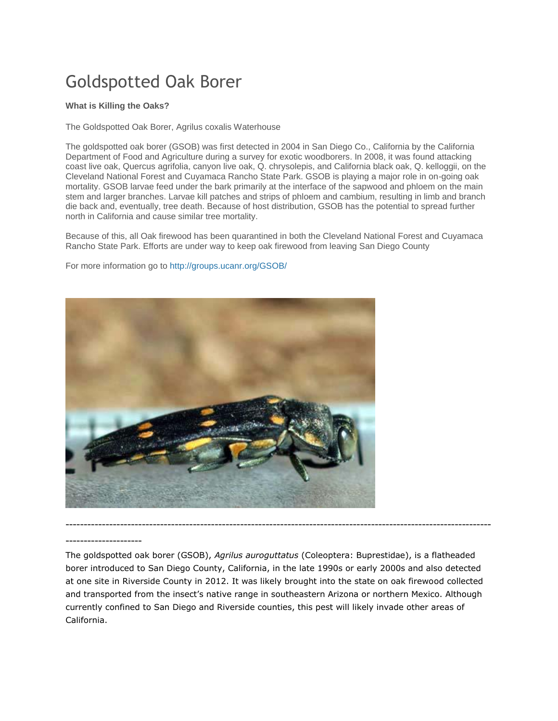# Goldspotted Oak Borer

#### **What is Killing the Oaks?**

The Goldspotted Oak Borer, Agrilus coxalis Waterhouse

The goldspotted oak borer (GSOB) was first detected in 2004 in San Diego Co., California by the California Department of Food and Agriculture during a survey for exotic woodborers. In 2008, it was found attacking coast live oak, Quercus agrifolia, canyon live oak, Q. chrysolepis, and California black oak, Q. kelloggii, on the Cleveland National Forest and Cuyamaca Rancho State Park. GSOB is playing a major role in on-going oak mortality. GSOB larvae feed under the bark primarily at the interface of the sapwood and phloem on the main stem and larger branches. Larvae kill patches and strips of phloem and cambium, resulting in limb and branch die back and, eventually, tree death. Because of host distribution, GSOB has the potential to spread further north in California and cause similar tree mortality.

Because of this, all Oak firewood has been quarantined in both the Cleveland National Forest and Cuyamaca Rancho State Park. Efforts are under way to keep oak firewood from leaving San Diego County

For more information go to<http://groups.ucanr.org/GSOB/>



#### ---------------------

The goldspotted oak borer (GSOB), *Agrilus auroguttatus* (Coleoptera: Buprestidae), is a flatheaded borer introduced to San Diego County, California, in the late 1990s or early 2000s and also detected at one site in Riverside County in 2012. It was likely brought into the state on oak firewood collected and transported from the insect's native range in southeastern Arizona or northern Mexico. Although currently confined to San Diego and Riverside counties, this pest will likely invade other areas of California.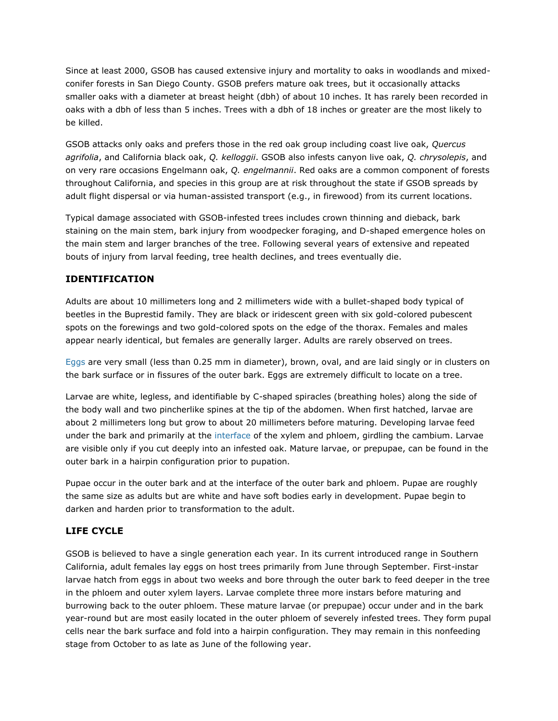Since at least 2000, GSOB has caused extensive injury and mortality to oaks in woodlands and mixedconifer forests in San Diego County. GSOB prefers mature oak trees, but it occasionally attacks smaller oaks with a diameter at breast height (dbh) of about 10 inches. It has rarely been recorded in oaks with a dbh of less than 5 inches. Trees with a dbh of 18 inches or greater are the most likely to be killed.

GSOB attacks only oaks and prefers those in the red oak group including coast live oak, *Quercus agrifolia*, and California black oak, *Q. kelloggii*. GSOB also infests canyon live oak, *Q. chrysolepis*, and on very rare occasions Engelmann oak, *Q. engelmannii*. Red oaks are a common component of forests throughout California, and species in this group are at risk throughout the state if GSOB spreads by adult flight dispersal or via human-assisted transport (e.g., in firewood) from its current locations.

Typical damage associated with GSOB-infested trees includes crown thinning and dieback, bark staining on the main stem, bark injury from woodpecker foraging, and D-shaped emergence holes on the main stem and larger branches of the tree. Following several years of extensive and repeated bouts of injury from larval feeding, tree health declines, and trees eventually die.

# **IDENTIFICATION**

Adults are about 10 millimeters long and 2 millimeters wide with a bullet-shaped body typical of beetles in the Buprestid family. They are black or iridescent green with six gold-colored pubescent spots on the forewings and two gold-colored spots on the edge of the thorax. Females and males appear nearly identical, but females are generally larger. Adults are rarely observed on trees.

[Eggs](http://www.ipm.ucdavis.edu/PMG/A/I-CO-AAUR-EG.001.html) are very small (less than 0.25 mm in diameter), brown, oval, and are laid singly or in clusters on the bark surface or in fissures of the outer bark. Eggs are extremely difficult to locate on a tree.

Larvae are white, legless, and identifiable by C-shaped spiracles (breathing holes) along the side of the body wall and two pincherlike spines at the tip of the abdomen. When first hatched, larvae are about 2 millimeters long but grow to about 20 millimeters before maturing. Developing larvae feed under the bark and primarily at the [interface](http://www.ipm.ucdavis.edu/PMG/A/I-CO-AAUR-MC.001.html) of the xylem and phloem, girdling the cambium. Larvae are visible only if you cut deeply into an infested oak. Mature larvae, or prepupae, can be found in the outer bark in a hairpin configuration prior to pupation.

Pupae occur in the outer bark and at the interface of the outer bark and phloem. Pupae are roughly the same size as adults but are white and have soft bodies early in development. Pupae begin to darken and harden prior to transformation to the adult.

# **LIFE CYCLE**

GSOB is believed to have a single generation each year. In its current introduced range in Southern California, adult females lay eggs on host trees primarily from June through September. First-instar larvae hatch from eggs in about two weeks and bore through the outer bark to feed deeper in the tree in the phloem and outer xylem layers. Larvae complete three more instars before maturing and burrowing back to the outer phloem. These mature larvae (or prepupae) occur under and in the bark year-round but are most easily located in the outer phloem of severely infested trees. They form pupal cells near the bark surface and fold into a hairpin configuration. They may remain in this nonfeeding stage from October to as late as June of the following year.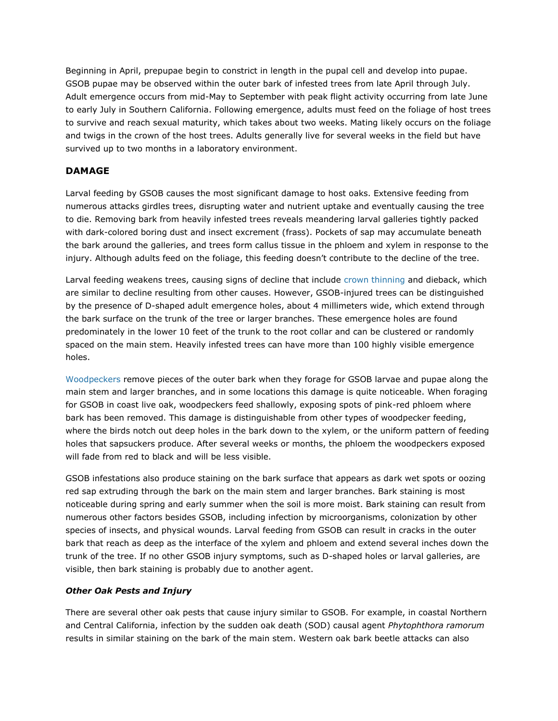Beginning in April, prepupae begin to constrict in length in the pupal cell and develop into pupae. GSOB pupae may be observed within the outer bark of infested trees from late April through July. Adult emergence occurs from mid-May to September with peak flight activity occurring from late June to early July in Southern California. Following emergence, adults must feed on the foliage of host trees to survive and reach sexual maturity, which takes about two weeks. Mating likely occurs on the foliage and twigs in the crown of the host trees. Adults generally live for several weeks in the field but have survived up to two months in a laboratory environment.

# **DAMAGE**

Larval feeding by GSOB causes the most significant damage to host oaks. Extensive feeding from numerous attacks girdles trees, disrupting water and nutrient uptake and eventually causing the tree to die. Removing bark from heavily infested trees reveals meandering larval galleries tightly packed with dark-colored boring dust and insect excrement (frass). Pockets of sap may accumulate beneath the bark around the galleries, and trees form callus tissue in the phloem and xylem in response to the injury. Although adults feed on the foliage, this feeding doesn't contribute to the decline of the tree.

Larval feeding weakens trees, causing signs of decline that include [crown thinning](http://www.ipm.ucdavis.edu/PMG/A/I-CO-AAUR-CD.002.html) and dieback, which are similar to decline resulting from other causes. However, GSOB-injured trees can be distinguished by the presence of D-shaped adult emergence holes, about 4 millimeters wide, which extend through the bark surface on the trunk of the tree or larger branches. These emergence holes are found predominately in the lower 10 feet of the trunk to the root collar and can be clustered or randomly spaced on the main stem. Heavily infested trees can have more than 100 highly visible emergence holes.

[Woodpeckers](http://www.ipm.ucdavis.edu/PMG/A/I-CO-AAUR-CD.004.html) remove pieces of the outer bark when they forage for GSOB larvae and pupae along the main stem and larger branches, and in some locations this damage is quite noticeable. When foraging for GSOB in coast live oak, woodpeckers feed shallowly, exposing spots of pink-red phloem where bark has been removed. This damage is distinguishable from other types of woodpecker feeding, where the birds notch out deep holes in the bark down to the xylem, or the uniform pattern of feeding holes that sapsuckers produce. After several weeks or months, the phloem the woodpeckers exposed will fade from red to black and will be less visible.

GSOB infestations also produce staining on the bark surface that appears as dark wet spots or oozing red sap extruding through the bark on the main stem and larger branches. Bark staining is most noticeable during spring and early summer when the soil is more moist. Bark staining can result from numerous other factors besides GSOB, including infection by microorganisms, colonization by other species of insects, and physical wounds. Larval feeding from GSOB can result in cracks in the outer bark that reach as deep as the interface of the xylem and phloem and extend several inches down the trunk of the tree. If no other GSOB injury symptoms, such as D-shaped holes or larval galleries, are visible, then bark staining is probably due to another agent.

# *Other Oak Pests and Injury*

There are several other oak pests that cause injury similar to GSOB. For example, in coastal Northern and Central California, infection by the sudden oak death (SOD) causal agent *Phytophthora ramorum* results in similar staining on the bark of the main stem. Western oak bark beetle attacks can also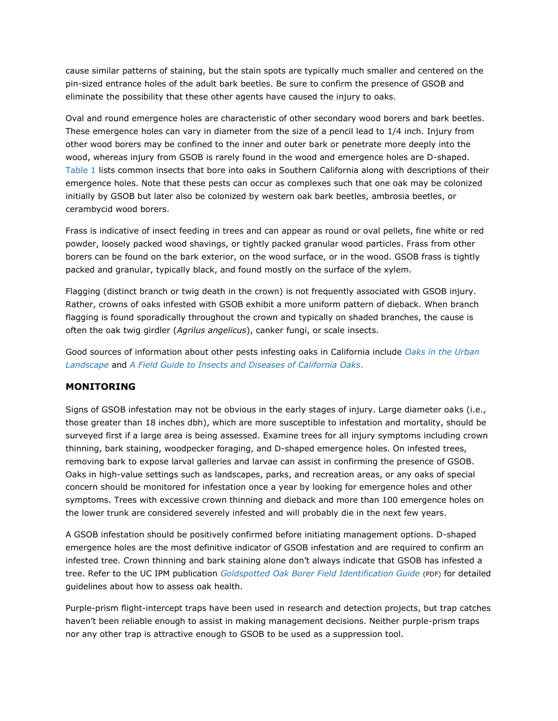cause similar patterns of staining, but the stain spots are typically much smaller and centered on the pin-sized entrance holes of the adult bark beetles. Be sure to confirm the presence of GSOB and eliminate the possibility that these other agents have caused the injury to oaks.

Oval and round emergence holes are characteristic of other secondary wood borers and bark beetles. These emergence holes can vary in diameter from the size of a pencil lead to 1/4 inch. Injury from other wood borers may be confined to the inner and outer bark or penetrate more deeply into the wood, whereas injury from GSOB is rarely found in the wood and emergence holes are D-shaped. [Table 1](http://www.ipm.ucdavis.edu/PMG/PESTNOTES/pn74163.html#TABLE1) lists common insects that bore into oaks in Southern California along with descriptions of their emergence holes. Note that these pests can occur as complexes such that one oak may be colonized initially by GSOB but later also be colonized by western oak bark beetles, ambrosia beetles, or cerambycid wood borers.

Frass is indicative of insect feeding in trees and can appear as round or oval pellets, fine white or red powder, loosely packed wood shavings, or tightly packed granular wood particles. Frass from other borers can be found on the bark exterior, on the wood surface, or in the wood. GSOB frass is tightly packed and granular, typically black, and found mostly on the surface of the xylem.

Flagging (distinct branch or twig death in the crown) is not frequently associated with GSOB injury. Rather, crowns of oaks infested with GSOB exhibit a more uniform pattern of dieback. When branch flagging is found sporadically throughout the crown and typically on shaded branches, the cause is often the oak twig girdler (*Agrilus angelicus*), canker fungi, or scale insects.

Good sources of information about other pests infesting oaks in California include *[Oaks in the Urban](http://anrcatalog.ucdavis.edu/Items/3518.aspx)  [Landscape](http://anrcatalog.ucdavis.edu/Items/3518.aspx)* and *[A Field Guide to Insects and Diseases of California Oaks](http://www.fs.fed.us/psw/publications/documents/psw_gtr197/)*[.](http://www.fs.fed.us/psw/publications/documents/psw_gtr197/)

# **MONITORING**

Signs of GSOB infestation may not be obvious in the early stages of injury. Large diameter oaks (i.e., those greater than 18 inches dbh), which are more susceptible to infestation and mortality, should be surveyed first if a large area is being assessed. Examine trees for all injury symptoms including crown thinning, bark staining, woodpecker foraging, and D-shaped emergence holes. On infested trees, removing bark to expose larval galleries and larvae can assist in confirming the presence of GSOB. Oaks in high-value settings such as landscapes, parks, and recreation areas, or any oaks of special concern should be monitored for infestation once a year by looking for emergence holes and other symptoms. Trees with excessive crown thinning and dieback and more than 100 emergence holes on the lower trunk are considered severely infested and will probably die in the next few years.

A GSOB infestation should be positively confirmed before initiating management options. D-shaped emergence holes are the most definitive indicator of GSOB infestation and are required to confirm an infested tree. Crown thinning and bark staining alone don't always indicate that GSOB has infested a tree. Refer to the UC IPM publication *[Goldspotted Oak Borer Field Identification Guide](http://www.ipm.ucdavis.edu/PDF/MISC/GSOB_field-identification-guide.pdf)* (PDF) for detailed guidelines about how to assess oak health.

Purple-prism flight-intercept traps have been used in research and detection projects, but trap catches haven't been reliable enough to assist in making management decisions. Neither purple-prism traps nor any other trap is attractive enough to GSOB to be used as a suppression tool.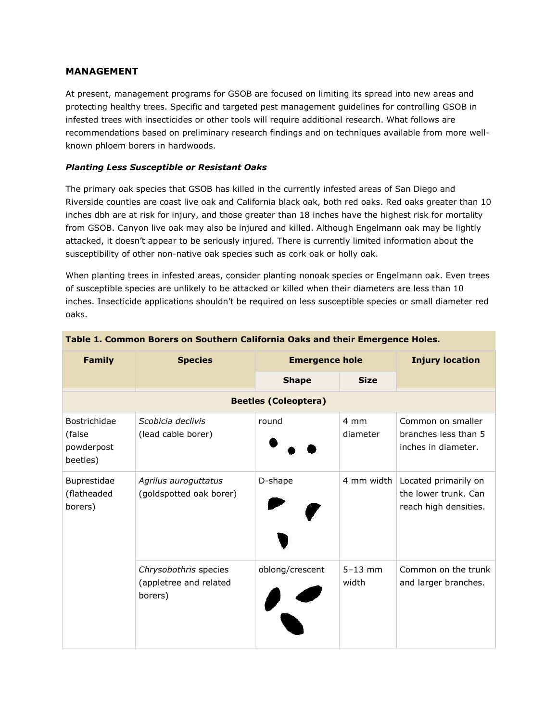# **MANAGEMENT**

At present, management programs for GSOB are focused on limiting its spread into new areas and protecting healthy trees. Specific and targeted pest management guidelines for controlling GSOB in infested trees with insecticides or other tools will require additional research. What follows are recommendations based on preliminary research findings and on techniques available from more wellknown phloem borers in hardwoods.

# *Planting Less Susceptible or Resistant Oaks*

The primary oak species that GSOB has killed in the currently infested areas of San Diego and Riverside counties are coast live oak and California black oak, both red oaks. Red oaks greater than 10 inches dbh are at risk for injury, and those greater than 18 inches have the highest risk for mortality from GSOB. Canyon live oak may also be injured and killed. Although Engelmann oak may be lightly attacked, it doesn't appear to be seriously injured. There is currently limited information about the susceptibility of other non-native oak species such as cork oak or holly oak.

When planting trees in infested areas, consider planting nonoak species or Engelmann oak. Even trees of susceptible species are unlikely to be attacked or killed when their diameters are less than 10 inches. Insecticide applications shouldn't be required on less susceptible species or small diameter red oaks.

| <b>Family</b>                                    | <b>Species</b>                                             | <b>Emergence hole</b> |                      | <b>Injury location</b>                                                |  |  |  |
|--------------------------------------------------|------------------------------------------------------------|-----------------------|----------------------|-----------------------------------------------------------------------|--|--|--|
|                                                  |                                                            | <b>Shape</b>          | <b>Size</b>          |                                                                       |  |  |  |
| <b>Beetles (Coleoptera)</b>                      |                                                            |                       |                      |                                                                       |  |  |  |
| Bostrichidae<br>(false<br>powderpost<br>beetles) | Scobicia declivis<br>(lead cable borer)                    | round                 | 4 mm<br>diameter     | Common on smaller<br>branches less than 5<br>inches in diameter.      |  |  |  |
| Buprestidae<br>(flatheaded<br>borers)            | Agrilus auroguttatus<br>(goldspotted oak borer)            | D-shape               | 4 mm width           | Located primarily on<br>the lower trunk. Can<br>reach high densities. |  |  |  |
|                                                  | Chrysobothris species<br>(appletree and related<br>borers) | oblong/crescent       | $5 - 13$ mm<br>width | Common on the trunk<br>and larger branches.                           |  |  |  |

#### **Table 1. Common Borers on Southern California Oaks and their Emergence Holes.**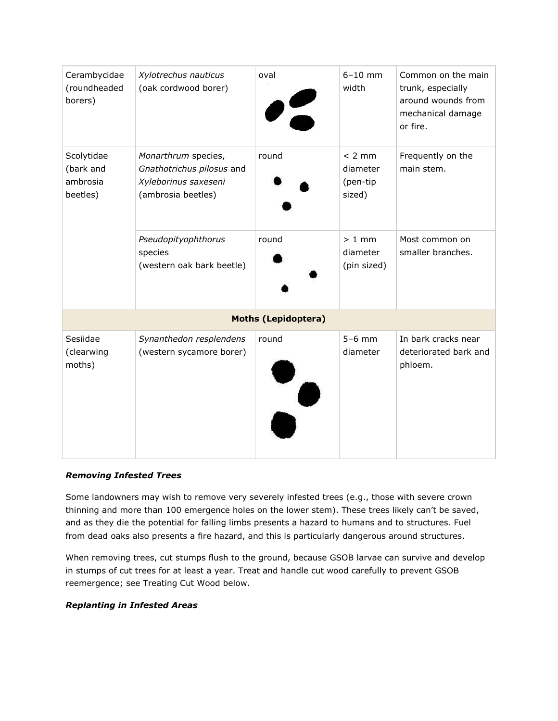| Cerambycidae<br>(roundheaded<br>borers)         | Xylotrechus nauticus<br>(oak cordwood borer)                                                   | oval  | $6 - 10$ mm<br>width                       | Common on the main<br>trunk, especially<br>around wounds from<br>mechanical damage<br>or fire. |  |  |  |
|-------------------------------------------------|------------------------------------------------------------------------------------------------|-------|--------------------------------------------|------------------------------------------------------------------------------------------------|--|--|--|
| Scolytidae<br>(bark and<br>ambrosia<br>beetles) | Monarthrum species,<br>Gnathotrichus pilosus and<br>Xyleborinus saxeseni<br>(ambrosia beetles) | round | $< 2$ mm<br>diameter<br>(pen-tip<br>sized) | Frequently on the<br>main stem.                                                                |  |  |  |
|                                                 | Pseudopityophthorus<br>species<br>(western oak bark beetle)                                    | round | $> 1$ mm<br>diameter<br>(pin sized)        | Most common on<br>smaller branches.                                                            |  |  |  |
| <b>Moths (Lepidoptera)</b>                      |                                                                                                |       |                                            |                                                                                                |  |  |  |
| Sesiidae<br>(clearwing<br>moths)                | Synanthedon resplendens<br>(western sycamore borer)                                            | round | $5-6$ mm<br>diameter                       | In bark cracks near<br>deteriorated bark and<br>phloem.                                        |  |  |  |

# *Removing Infested Trees*

Some landowners may wish to remove very severely infested trees (e.g., those with severe crown thinning and more than 100 emergence holes on the lower stem). These trees likely can't be saved, and as they die the potential for falling limbs presents a hazard to humans and to structures. Fuel from dead oaks also presents a fire hazard, and this is particularly dangerous around structures.

When removing trees, cut stumps flush to the ground, because GSOB larvae can survive and develop in stumps of cut trees for at least a year. Treat and handle cut wood carefully to prevent GSOB reemergence; see Treating Cut Wood below.

#### *Replanting in Infested Areas*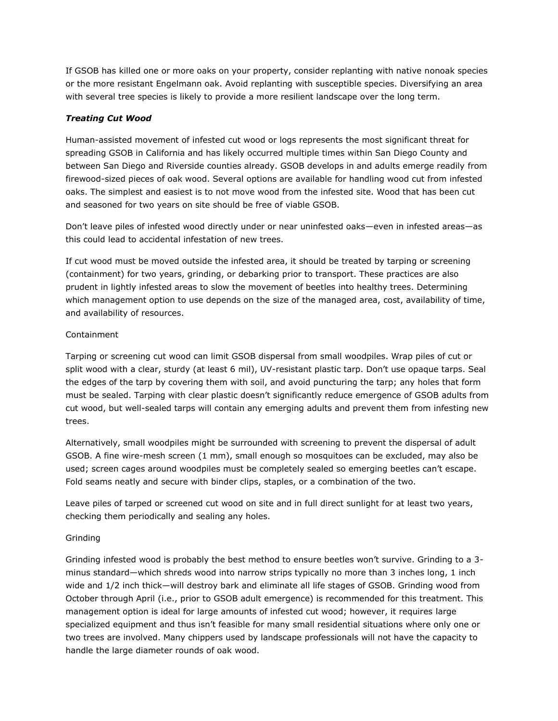If GSOB has killed one or more oaks on your property, consider replanting with native nonoak species or the more resistant Engelmann oak. Avoid replanting with susceptible species. Diversifying an area with several tree species is likely to provide a more resilient landscape over the long term.

# *Treating Cut Wood*

Human-assisted movement of infested cut wood or logs represents the most significant threat for spreading GSOB in California and has likely occurred multiple times within San Diego County and between San Diego and Riverside counties already. GSOB develops in and adults emerge readily from firewood-sized pieces of oak wood. Several options are available for handling wood cut from infested oaks. The simplest and easiest is to not move wood from the infested site. Wood that has been cut and seasoned for two years on site should be free of viable GSOB.

Don't leave piles of infested wood directly under or near uninfested oaks—even in infested areas—as this could lead to accidental infestation of new trees.

If cut wood must be moved outside the infested area, it should be treated by tarping or screening (containment) for two years, grinding, or debarking prior to transport. These practices are also prudent in lightly infested areas to slow the movement of beetles into healthy trees. Determining which management option to use depends on the size of the managed area, cost, availability of time, and availability of resources.

#### Containment

Tarping or screening cut wood can limit GSOB dispersal from small woodpiles. Wrap piles of cut or split wood with a clear, sturdy (at least 6 mil), UV-resistant plastic tarp. Don't use opaque tarps. Seal the edges of the tarp by covering them with soil, and avoid puncturing the tarp; any holes that form must be sealed. Tarping with clear plastic doesn't significantly reduce emergence of GSOB adults from cut wood, but well-sealed tarps will contain any emerging adults and prevent them from infesting new trees.

Alternatively, small woodpiles might be surrounded with screening to prevent the dispersal of adult GSOB. A fine wire-mesh screen (1 mm), small enough so mosquitoes can be excluded, may also be used; screen cages around woodpiles must be completely sealed so emerging beetles can't escape. Fold seams neatly and secure with binder clips, staples, or a combination of the two.

Leave piles of tarped or screened cut wood on site and in full direct sunlight for at least two years, checking them periodically and sealing any holes.

# Grinding

Grinding infested wood is probably the best method to ensure beetles won't survive. Grinding to a 3 minus standard—which shreds wood into narrow strips typically no more than 3 inches long, 1 inch wide and 1/2 inch thick—will destroy bark and eliminate all life stages of GSOB. Grinding wood from October through April (i.e., prior to GSOB adult emergence) is recommended for this treatment. This management option is ideal for large amounts of infested cut wood; however, it requires large specialized equipment and thus isn't feasible for many small residential situations where only one or two trees are involved. Many chippers used by landscape professionals will not have the capacity to handle the large diameter rounds of oak wood.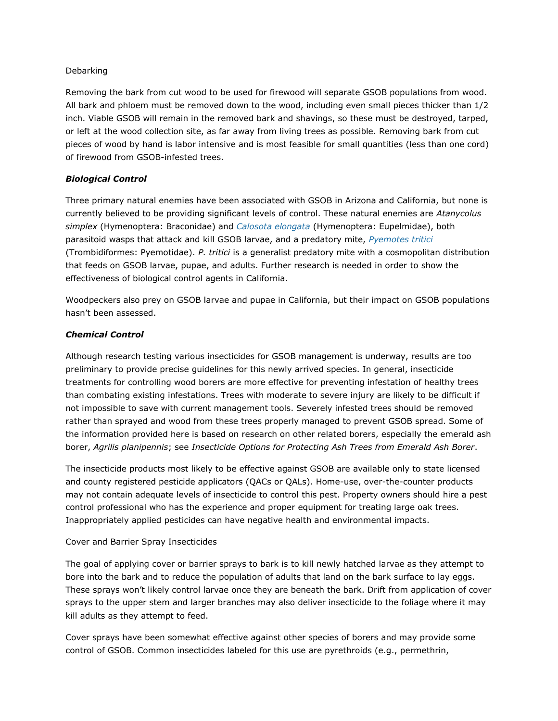#### Debarking

Removing the bark from cut wood to be used for firewood will separate GSOB populations from wood. All bark and phloem must be removed down to the wood, including even small pieces thicker than 1/2 inch. Viable GSOB will remain in the removed bark and shavings, so these must be destroyed, tarped, or left at the wood collection site, as far away from living trees as possible. Removing bark from cut pieces of wood by hand is labor intensive and is most feasible for small quantities (less than one cord) of firewood from GSOB-infested trees.

### *Biological Control*

Three primary natural enemies have been associated with GSOB in Arizona and California, but none is currently believed to be providing significant levels of control. These natural enemies are *Atanycolus simplex* (Hymenoptera: Braconidae) and *[Calosota elongata](http://www.ipm.ucdavis.edu/PMG/A/I-CO-AAUR-CE.001.html)* (Hymenoptera: Eupelmidae), both parasitoid wasps that attack and kill GSOB larvae, and a predatory mite, *[Pyemotes tritici](http://www.ipm.ucdavis.edu/PMG/A/I-CO-AAUR-PA.001.html)* (Trombidiformes: Pyemotidae). *P. tritici* is a generalist predatory mite with a cosmopolitan distribution that feeds on GSOB larvae, pupae, and adults. Further research is needed in order to show the effectiveness of biological control agents in California.

Woodpeckers also prey on GSOB larvae and pupae in California, but their impact on GSOB populations hasn't been assessed.

#### *Chemical Control*

Although research testing various insecticides for GSOB management is underway, results are too preliminary to provide precise guidelines for this newly arrived species. In general, insecticide treatments for controlling wood borers are more effective for preventing infestation of healthy trees than combating existing infestations. Trees with moderate to severe injury are likely to be difficult if not impossible to save with current management tools. Severely infested trees should be removed rather than sprayed and wood from these trees properly managed to prevent GSOB spread. Some of the information provided here is based on research on other related borers, especially the emerald ash borer, *Agrilis planipennis*; see *Insecticide Options for Protecting Ash Trees from Emerald Ash Borer*.

The insecticide products most likely to be effective against GSOB are available only to state licensed and county registered pesticide applicators (QACs or QALs). Home-use, over-the-counter products may not contain adequate levels of insecticide to control this pest. Property owners should hire a pest control professional who has the experience and proper equipment for treating large oak trees. Inappropriately applied pesticides can have negative health and environmental impacts.

#### Cover and Barrier Spray Insecticides

The goal of applying cover or barrier sprays to bark is to kill newly hatched larvae as they attempt to bore into the bark and to reduce the population of adults that land on the bark surface to lay eggs. These sprays won't likely control larvae once they are beneath the bark. Drift from application of cover sprays to the upper stem and larger branches may also deliver insecticide to the foliage where it may kill adults as they attempt to feed.

Cover sprays have been somewhat effective against other species of borers and may provide some control of GSOB. Common insecticides labeled for this use are pyrethroids (e.g., permethrin,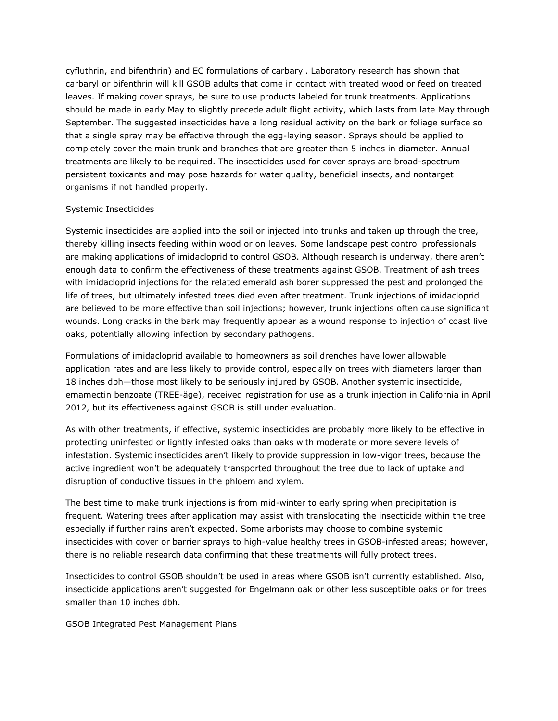cyfluthrin, and bifenthrin) and EC formulations of carbaryl. Laboratory research has shown that carbaryl or bifenthrin will kill GSOB adults that come in contact with treated wood or feed on treated leaves. If making cover sprays, be sure to use products labeled for trunk treatments. Applications should be made in early May to slightly precede adult flight activity, which lasts from late May through September. The suggested insecticides have a long residual activity on the bark or foliage surface so that a single spray may be effective through the egg-laying season. Sprays should be applied to completely cover the main trunk and branches that are greater than 5 inches in diameter. Annual treatments are likely to be required. The insecticides used for cover sprays are broad-spectrum persistent toxicants and may pose hazards for water quality, beneficial insects, and nontarget organisms if not handled properly.

#### Systemic Insecticides

Systemic insecticides are applied into the soil or injected into trunks and taken up through the tree, thereby killing insects feeding within wood or on leaves. Some landscape pest control professionals are making applications of imidacloprid to control GSOB. Although research is underway, there aren't enough data to confirm the effectiveness of these treatments against GSOB. Treatment of ash trees with imidacloprid injections for the related emerald ash borer suppressed the pest and prolonged the life of trees, but ultimately infested trees died even after treatment. Trunk injections of imidacloprid are believed to be more effective than soil injections; however, trunk injections often cause significant wounds. Long cracks in the bark may frequently appear as a wound response to injection of coast live oaks, potentially allowing infection by secondary pathogens.

Formulations of imidacloprid available to homeowners as soil drenches have lower allowable application rates and are less likely to provide control, especially on trees with diameters larger than 18 inches dbh—those most likely to be seriously injured by GSOB. Another systemic insecticide, emamectin benzoate (TREE-äge), received registration for use as a trunk injection in California in April 2012, but its effectiveness against GSOB is still under evaluation.

As with other treatments, if effective, systemic insecticides are probably more likely to be effective in protecting uninfested or lightly infested oaks than oaks with moderate or more severe levels of infestation. Systemic insecticides aren't likely to provide suppression in low-vigor trees, because the active ingredient won't be adequately transported throughout the tree due to lack of uptake and disruption of conductive tissues in the phloem and xylem.

The best time to make trunk injections is from mid-winter to early spring when precipitation is frequent. Watering trees after application may assist with translocating the insecticide within the tree especially if further rains aren't expected. Some arborists may choose to combine systemic insecticides with cover or barrier sprays to high-value healthy trees in GSOB-infested areas; however, there is no reliable research data confirming that these treatments will fully protect trees.

Insecticides to control GSOB shouldn't be used in areas where GSOB isn't currently established. Also, insecticide applications aren't suggested for Engelmann oak or other less susceptible oaks or for trees smaller than 10 inches dbh.

GSOB Integrated Pest Management Plans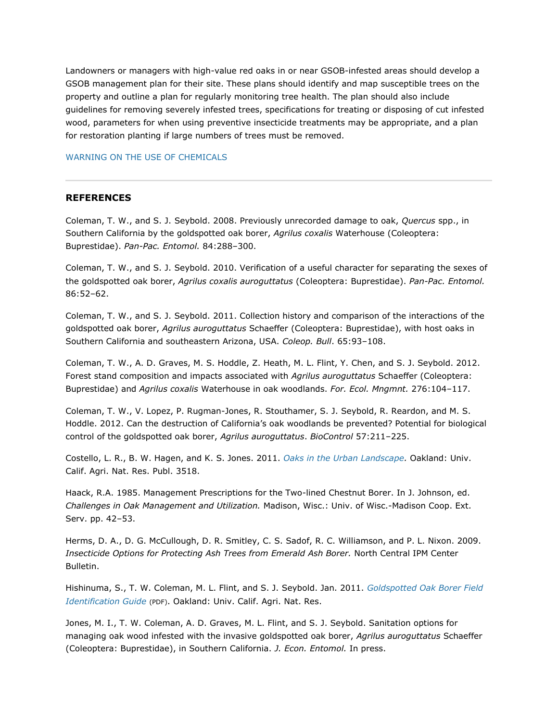Landowners or managers with high-value red oaks in or near GSOB-infested areas should develop a GSOB management plan for their site. These plans should identify and map susceptible trees on the property and outline a plan for regularly monitoring tree health. The plan should also include guidelines for removing severely infested trees, specifications for treating or disposing of cut infested wood, parameters for when using preventive insecticide treatments may be appropriate, and a plan for restoration planting if large numbers of trees must be removed.

#### [WARNING ON THE USE OF CHEMICALS](http://www.ipm.ucdavis.edu/PMG/PESTNOTES/warning.html)

#### **REFERENCES**

Coleman, T. W., and S. J. Seybold. 2008. Previously unrecorded damage to oak, *Quercus* spp., in Southern California by the goldspotted oak borer, *Agrilus coxalis* Waterhouse (Coleoptera: Buprestidae). *Pan-Pac. Entomol.* 84:288–300.

Coleman, T. W., and S. J. Seybold. 2010. Verification of a useful character for separating the sexes of the goldspotted oak borer, *Agrilus coxalis auroguttatus* (Coleoptera: Buprestidae). *Pan-Pac. Entomol.* 86:52–62.

Coleman, T. W., and S. J. Seybold. 2011. Collection history and comparison of the interactions of the goldspotted oak borer, *Agrilus auroguttatus* Schaeffer (Coleoptera: Buprestidae), with host oaks in Southern California and southeastern Arizona, USA. *Coleop. Bull*. 65:93–108.

Coleman, T. W., A. D. Graves, M. S. Hoddle, Z. Heath, M. L. Flint, Y. Chen, and S. J. Seybold. 2012. Forest stand composition and impacts associated with *Agrilus auroguttatus* Schaeffer (Coleoptera: Buprestidae) and *Agrilus coxalis* Waterhouse in oak woodlands. *For. Ecol. Mngmnt.* 276:104–117.

Coleman, T. W., V. Lopez, P. Rugman-Jones, R. Stouthamer, S. J. Seybold, R. Reardon, and M. S. Hoddle. 2012. Can the destruction of California's oak woodlands be prevented? Potential for biological control of the goldspotted oak borer, *Agrilus auroguttatus*. *BioControl* 57:211–225.

Costello, L. R., B. W. Hagen, and K. S. Jones. 2011. *[Oaks in the Urban Landscape.](http://anrcatalog.ucdavis.edu/Items/3518.aspx)* Oakland: Univ. Calif. Agri. Nat. Res. Publ. 3518.

Haack, R.A. 1985. Management Prescriptions for the Two-lined Chestnut Borer. In J. Johnson, ed. *Challenges in Oak Management and Utilization.* Madison, Wisc.: Univ. of Wisc.-Madison Coop. Ext. Serv. pp. 42–53.

Herms, D. A., D. G. McCullough, D. R. Smitley, C. S. Sadof, R. C. Williamson, and P. L. Nixon. 2009. *Insecticide Options for Protecting Ash Trees from Emerald Ash Borer.* North Central IPM Center Bulletin.

Hishinuma, S., T. W. Coleman, M. L. Flint, and S. J. Seybold. Jan. 2011. *[Goldspotted Oak Borer Field](http://www.ipm.ucdavis.edu/PDF/MISC/GSOB_field-identification-guide.pdf)  [Identification Guide](http://www.ipm.ucdavis.edu/PDF/MISC/GSOB_field-identification-guide.pdf)* (PDF). Oakland: Univ. Calif. Agri. Nat. Res.

Jones, M. I., T. W. Coleman, A. D. Graves, M. L. Flint, and S. J. Seybold. Sanitation options for managing oak wood infested with the invasive goldspotted oak borer, *Agrilus auroguttatus* Schaeffer (Coleoptera: Buprestidae), in Southern California. *J. Econ. Entomol.* In press.